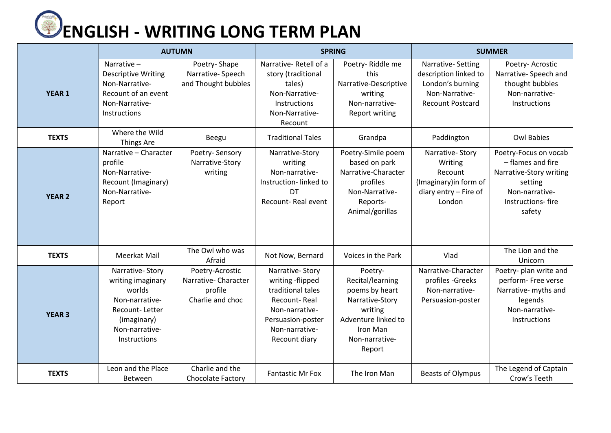

|               | <b>AUTUMN</b>                                                                                                                       |                                                                       | <b>SPRING</b>                                                                                                                                      |                                                                                                                                            | <b>SUMMER</b>                                                                                               |                                                                                                                                   |
|---------------|-------------------------------------------------------------------------------------------------------------------------------------|-----------------------------------------------------------------------|----------------------------------------------------------------------------------------------------------------------------------------------------|--------------------------------------------------------------------------------------------------------------------------------------------|-------------------------------------------------------------------------------------------------------------|-----------------------------------------------------------------------------------------------------------------------------------|
| <b>YEAR 1</b> | Narrative-<br><b>Descriptive Writing</b><br>Non-Narrative-<br>Recount of an event<br>Non-Narrative-<br>Instructions                 | Poetry-Shape<br>Narrative-Speech<br>and Thought bubbles               | Narrative-Retell of a<br>story (traditional<br>tales)<br>Non-Narrative-<br>Instructions<br>Non-Narrative-<br>Recount                               | Poetry-Riddle me<br>this<br>Narrative-Descriptive<br>writing<br>Non-narrative-<br><b>Report writing</b>                                    | Narrative-Setting<br>description linked to<br>London's burning<br>Non-Narrative-<br><b>Recount Postcard</b> | Poetry- Acrostic<br>Narrative- Speech and<br>thought bubbles<br>Non-narrative-<br>Instructions                                    |
| <b>TEXTS</b>  | Where the Wild<br><b>Things Are</b>                                                                                                 | Beegu                                                                 | <b>Traditional Tales</b>                                                                                                                           | Grandpa                                                                                                                                    | Paddington                                                                                                  | <b>Owl Babies</b>                                                                                                                 |
| <b>YEAR 2</b> | Narrative - Character<br>profile<br>Non-Narrative-<br>Recount (Imaginary)<br>Non-Narrative-<br>Report                               | Poetry-Sensory<br>Narrative-Story<br>writing                          | Narrative-Story<br>writing<br>Non-narrative-<br>Instruction-linked to<br><b>DT</b><br>Recount-Real event                                           | Poetry-Simile poem<br>based on park<br>Narrative-Character<br>profiles<br>Non-Narrative-<br>Reports-<br>Animal/gorillas                    | Narrative-Story<br>Writing<br>Recount<br>(Imaginary) in form of<br>diary entry - Fire of<br>London          | Poetry-Focus on vocab<br>- flames and fire<br>Narrative-Story writing<br>setting<br>Non-narrative-<br>Instructions-fire<br>safety |
| <b>TEXTS</b>  | <b>Meerkat Mail</b>                                                                                                                 | The Owl who was<br>Afraid                                             | Not Now, Bernard                                                                                                                                   | Voices in the Park                                                                                                                         | Vlad                                                                                                        | The Lion and the<br>Unicorn                                                                                                       |
| <b>YEAR 3</b> | Narrative-Story<br>writing imaginary<br>worlds<br>Non-narrative-<br>Recount-Letter<br>(imaginary)<br>Non-narrative-<br>Instructions | Poetry-Acrostic<br>Narrative-Character<br>profile<br>Charlie and choc | Narrative-Story<br>writing -flipped<br>traditional tales<br>Recount-Real<br>Non-narrative-<br>Persuasion-poster<br>Non-narrative-<br>Recount diary | Poetry-<br>Recital/learning<br>poems by heart<br>Narrative-Story<br>writing<br>Adventure linked to<br>Iron Man<br>Non-narrative-<br>Report | Narrative-Character<br>profiles - Greeks<br>Non-narrative-<br>Persuasion-poster                             | Poetry- plan write and<br>perform- Free verse<br>Narrative- myths and<br>legends<br>Non-narrative-<br>Instructions                |
| <b>TEXTS</b>  | Leon and the Place<br>Between                                                                                                       | Charlie and the<br>Chocolate Factory                                  | <b>Fantastic Mr Fox</b>                                                                                                                            | The Iron Man                                                                                                                               | <b>Beasts of Olympus</b>                                                                                    | The Legend of Captain<br>Crow's Teeth                                                                                             |